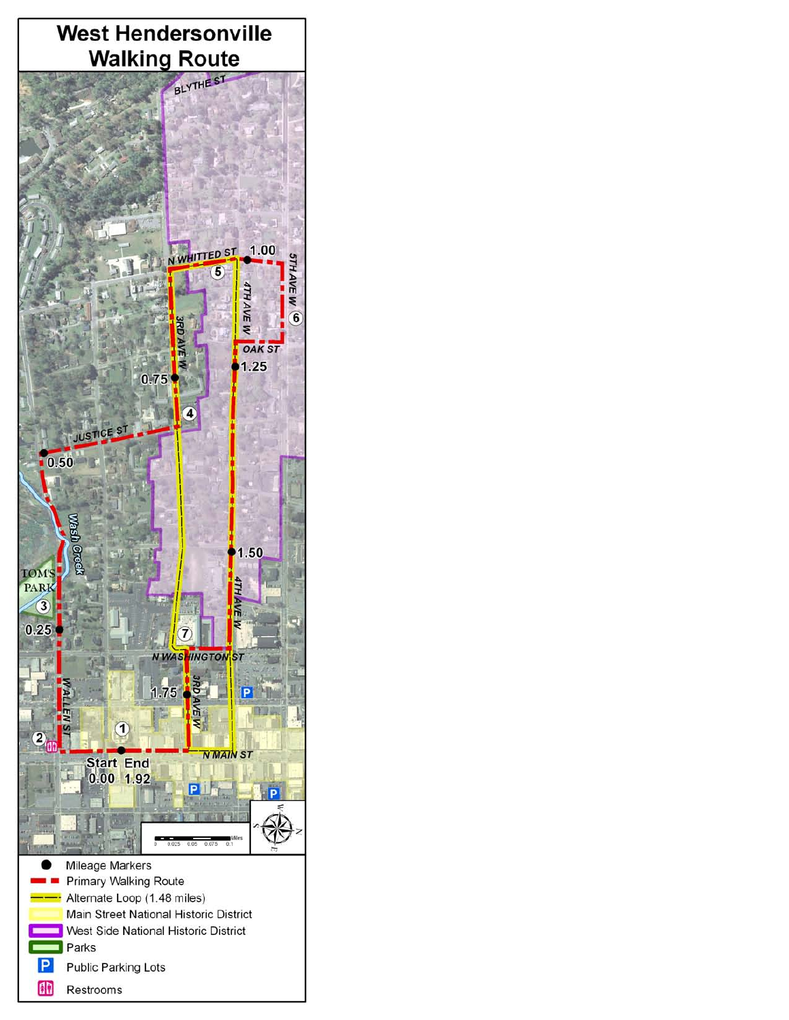

Restrooms